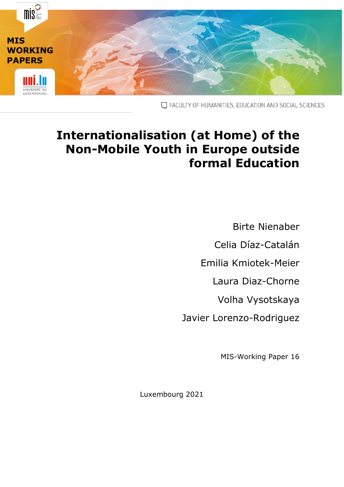

T FACULTY OF HUMANITIES, EDUCATION AND SOCIAL SCIENCES

# **Internationalisation (at Home) of the Non-Mobile Youth in Europe outside formal Education**

Birte Nienaber Celia Díaz-Catalán Emilia Kmiotek-Meier Laura Diaz-Chorne Volha Vysotskaya Javier Lorenzo-Rodriguez

MIS-Working Paper 16

Luxembourg 2021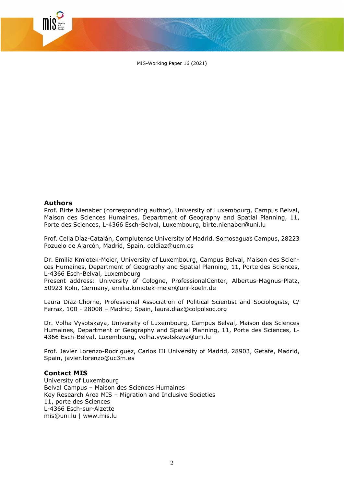MIS-Working Paper 16 (2021)

#### **Authors**

Prof. Birte Nienaber (corresponding author), University of Luxembourg, Campus Belval, Maison des Sciences Humaines, Department of Geography and Spatial Planning, 11, Porte des Sciences, L-4366 Esch-Belval, Luxembourg, [birte.nienaber@uni.lu](mailto:birte.nienaber@uni.lu)

Prof. Celia Díaz-Catalán, Complutense University of Madrid, Somosaguas Campus, 28223 Pozuelo de Alarcón, Madrid, Spain, [celdiaz@ucm.es](mailto:celdiaz@ucm.es)

Dr. Emilia Kmiotek-Meier, University of Luxembourg, Campus Belval, Maison des Sciences Humaines, Department of Geography and Spatial Planning, 11, Porte des Sciences, L-4366 Esch-Belval, Luxembourg

Present address: University of Cologne, ProfessionalCenter, Albertus-Magnus-Platz, 50923 Köln, Germany, emilia.kmiotek-meier@uni-koeln.de

Laura Diaz-Chorne, Professional Association of Political Scientist and Sociologists, C/ Ferraz, 100 - 28008 – Madrid; Spain, laura.diaz@colpolsoc.org

Dr. Volha Vysotskaya, University of Luxembourg, Campus Belval, Maison des Sciences Humaines, Department of Geography and Spatial Planning, 11, Porte des Sciences, L-4366 Esch-Belval, Luxembourg, volha.vysotskaya@uni.lu

Prof. Javier Lorenzo-Rodriguez, Carlos III University of Madrid, 28903, Getafe, Madrid, Spain, javier.lorenzo@uc3m.es

#### **Contact MIS**

University of Luxembourg Belval Campus – Maison des Sciences Humaines Key Research Area MIS – Migration and Inclusive Societies 11, porte des Sciences L-4366 Esch-sur-Alzette [mis@uni.lu](mailto:mis@uni.lu) | [www.mis.lu](http://www.mis.lu/)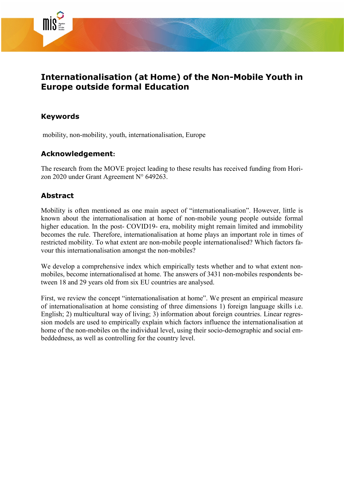

## **Internationalisation (at Home) of the Non-Mobile Youth in Europe outside formal Education**

## **Keywords**

mobility, non-mobility, youth, internationalisation, Europe

## **Acknowledgement:**

The research from the MOVE project leading to these results has received funding from Horizon 2020 under Grant Agreement N° 649263.

## **Abstract**

Mobility is often mentioned as one main aspect of "internationalisation". However, little is known about the internationalisation at home of non-mobile young people outside formal higher education. In the post- COVID19- era, mobility might remain limited and immobility becomes the rule. Therefore, internationalisation at home plays an important role in times of restricted mobility. To what extent are non-mobile people internationalised? Which factors favour this internationalisation amongst the non-mobiles?

We develop a comprehensive index which empirically tests whether and to what extent nonmobiles, become internationalised at home. The answers of 3431 non-mobiles respondents between 18 and 29 years old from six EU countries are analysed.

First, we review the concept "internationalisation at home". We present an empirical measure of internationalisation at home consisting of three dimensions 1) foreign language skills i.e. English; 2) multicultural way of living; 3) information about foreign countries. Linear regression models are used to empirically explain which factors influence the internationalisation at home of the non-mobiles on the individual level, using their socio-demographic and social embeddedness, as well as controlling for the country level.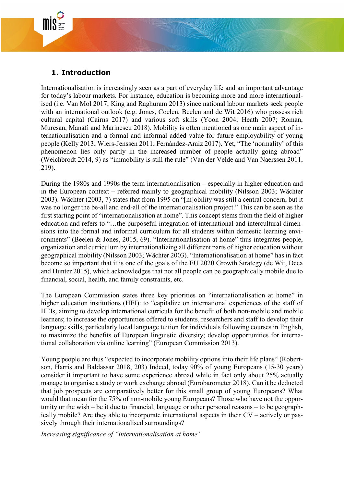## **1. Introduction**

Internationalisation is increasingly seen as a part of everyday life and an important advantage for today's labour markets. For instance, education is becoming more and more internationalised (i.e. Van Mol 2017; King and Raghuram 2013) since national labour markets seek people with an international outlook (e.g. Jones, Coelen, Beelen and de Wit 2016) who possess rich cultural capital (Cairns 2017) and various soft skills (Yoon 2004; Heath 2007; Roman, Muresan, Manafi and Marinescu 2018). Mobility is often mentioned as one main aspect of internationalisation and a formal and informal added value for future employability of young people (Kelly 2013; Wiers-Jenssen 2011; Fernández-Araiz 2017). Yet, "The 'normality' of this phenomenon lies only partly in the increased number of people actually going abroad" (Weichbrodt 2014, 9) as "immobility is still the rule" (Van der Velde and Van Naerssen 2011, 219).

During the 1980s and 1990s the term internationalisation – especially in higher education and in the European context – referred mainly to geographical mobility (Nilsson 2003; Wächter 2003). Wächter (2003, 7) states that from 1995 on "[m]obility was still a central concern, but it was no longer the be-all and end-all of the internationalisation project." This can be seen as the first starting point of "internationalisation at home". This concept stems from the field of higher education and refers to "…the purposeful integration of international and intercultural dimensions into the formal and informal curriculum for all students within domestic learning environments" (Beelen & Jones, 2015, 69). "Internationalisation at home" thus integrates people, organization and curriculum by internationalizing all different parts of higher education without geographical mobility (Nilsson 2003; Wächter 2003). "Internationalisation at home" has in fact become so important that it is one of the goals of the EU 2020 Growth Strategy (de Wit, Deca and Hunter 2015), which acknowledges that not all people can be geographically mobile due to financial, social, health, and family constraints, etc.

The European Commission states three key priorities on "internationalisation at home" in higher education institutions (HEI): to "capitalize on international experiences of the staff of HEIs, aiming to develop international curricula for the benefit of both non-mobile and mobile learners; to increase the opportunities offered to students, researchers and staff to develop their language skills, particularly local language tuition for individuals following courses in English, to maximize the benefits of European linguistic diversity; develop opportunities for international collaboration via online learning" (European Commission 2013).

Young people are thus "expected to incorporate mobility options into their life plans" (Robertson, Harris and Baldassar 2018, 203) Indeed, today 90% of young Europeans (15-30 years) consider it important to have some experience abroad while in fact only about 25% actually manage to organise a study or work exchange abroad (Eurobarometer 2018). Can it be deducted that job prospects are comparatively better for this small group of young Europeans? What would that mean for the 75% of non-mobile young Europeans? Those who have not the opportunity or the wish – be it due to financial, language or other personal reasons – to be geographically mobile? Are they able to incorporate international aspects in their CV – actively or passively through their internationalised surroundings?

*Increasing significance of "internationalisation at home"*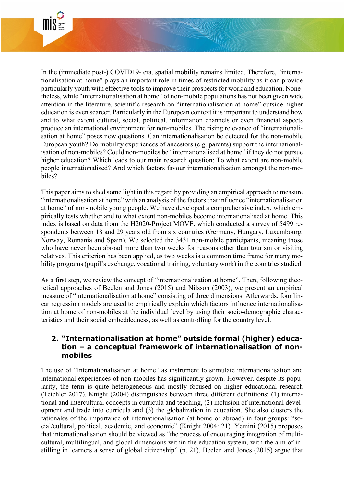

In the (immediate post-) COVID19- era, spatial mobility remains limited. Therefore, "internationalisation at home" plays an important role in times of restricted mobility as it can provide particularly youth with effective tools to improve their prospects for work and education. Nonetheless, while "internationalisation at home" of non-mobile populations has not been given wide attention in the literature, scientific research on "internationalisation at home" outside higher education is even scarcer. Particularly in the European context it is important to understand how and to what extent cultural, social, political, information channels or even financial aspects produce an international environment for non-mobiles. The rising relevance of "internationalisation at home" poses new questions. Can internationalisation be detected for the non-mobile European youth? Do mobility experiences of ancestors (e.g. parents) support the internationalisation of non-mobiles? Could non-mobiles be "internationalised at home" if they do not pursue higher education? Which leads to our main research question: To what extent are non-mobile people internationalised? And which factors favour internationalisation amongst the non-mobiles?

This paper aims to shed some light in this regard by providing an empirical approach to measure "internationalisation at home" with an analysis of the factors that influence "internationalisation at home" of non-mobile young people. We have developed a comprehensive index, which empirically tests whether and to what extent non-mobiles become internationalised at home. This index is based on data from the H2020-Project MOVE, which conducted a survey of 5499 respondents between 18 and 29 years old from six countries (Germany, Hungary, Luxembourg, Norway, Romania and Spain). We selected the 3431 non-mobile participants, meaning those who have never been abroad more than two weeks for reasons other than tourism or visiting relatives. This criterion has been applied, as two weeks is a common time frame for many mobility programs (pupil's exchange, vocational training, voluntary work) in the countries studied.

As a first step, we review the concept of "internationalisation at home". Then, following theoretical approaches of Beelen and Jones (2015) and Nilsson (2003), we present an empirical measure of "internationalisation at home" consisting of three dimensions. Afterwards, four linear regression models are used to empirically explain which factors influence internationalisation at home of non-mobiles at the individual level by using their socio-demographic characteristics and their social embeddedness, as well as controlling for the country level.

## **2. "Internationalisation at home" outside formal (higher) education – a conceptual framework of internationalisation of nonmobiles**

The use of "Internationalisation at home" as instrument to stimulate internationalisation and international experiences of non-mobiles has significantly grown. However, despite its popularity, the term is quite heterogeneous and mostly focused on higher educational research (Teichler 2017). Knight (2004) distinguishes between three different definitions: (1) international and intercultural concepts in curricula and teaching, (2) inclusion of international development and trade into curricula and (3) the globalization in education. She also clusters the rationales of the importance of internationalisation (at home or abroad) in four groups: "social/cultural, political, academic, and economic" (Knight 2004: 21). Yemini (2015) proposes that internationalisation should be viewed as "the process of encouraging integration of multicultural, multilingual, and global dimensions within the education system, with the aim of instilling in learners a sense of global citizenship" (p. 21). Beelen and Jones (2015) argue that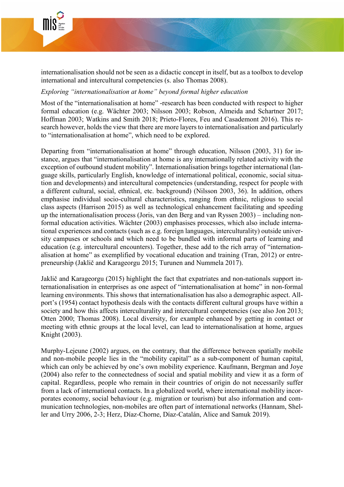

internationalisation should not be seen as a didactic concept in itself, but as a toolbox to develop international and intercultural competencies (s. also Thomas 2008).

#### *Exploring "internationalisation at home" beyond formal higher education*

Most of the "internationalisation at home" -research has been conducted with respect to higher formal education (e.g. Wächter 2003; Nilsson 2003; Robson, Almeida and Schartner 2017; Hoffman 2003; Watkins and Smith 2018; Prieto-Flores, Feu and Casademont 2016). This research however, holds the view that there are more layers to internationalisation and particularly to "internationalisation at home", which need to be explored.

Departing from "internationalisation at home" through education, Nilsson (2003, 31) for instance, argues that "internationalisation at home is any internationally related activity with the exception of outbound student mobility". Internationalisation brings together international (language skills, particularly English, knowledge of international political, economic, social situation and developments) and intercultural competencies (understanding, respect for people with a different cultural, social, ethnical, etc. background) (Nilsson 2003, 36). In addition, others emphasise individual socio-cultural characteristics, ranging from ethnic, religious to social class aspects (Harrison 2015) as well as technological enhancement facilitating and speeding up the internationalisation process (Joris, van den Berg and van Ryssen 2003) – including nonformal education activities. Wächter (2003) emphasises processes, which also include international experiences and contacts (such as e.g. foreign languages, interculturality) outside university campuses or schools and which need to be bundled with informal parts of learning and education (e.g. intercultural encounters). Together, these add to the rich array of "internationalisation at home" as exemplified by vocational education and training (Tran, 2012) or entrepreneurship (Jaklič and Karageorgu 2015; Turunen and Nummela 2017).

Jaklič and Karageorgu (2015) highlight the fact that expatriates and non-nationals support internationalisation in enterprises as one aspect of "internationalisation at home" in non-formal learning environments. This shows that internationalisation has also a demographic aspect. Allport's (1954) contact hypothesis deals with the contacts different cultural groups have within a society and how this affects interculturality and intercultural competencies (see also Jon 2013; Otten 2000; Thomas 2008). Local diversity, for example enhanced by getting in contact or meeting with ethnic groups at the local level, can lead to internationalisation at home, argues Knight (2003).

Murphy-Lejeune (2002) argues, on the contrary, that the difference between spatially mobile and non-mobile people lies in the "mobility capital" as a sub-component of human capital, which can only be achieved by one's own mobility experience. Kaufmann, Bergman and Joye (2004) also refer to the connectedness of social and spatial mobility and view it as a form of capital. Regardless, people who remain in their countries of origin do not necessarily suffer from a lack of international contacts. In a globalized world, where international mobility incorporates economy, social behaviour (e.g. migration or tourism) but also information and communication technologies, non-mobiles are often part of international networks (Hannam, Sheller and Urry 2006, 2-3; Herz, Díaz-Chorne, Díaz-Catalán, Alice and Samuk 2019).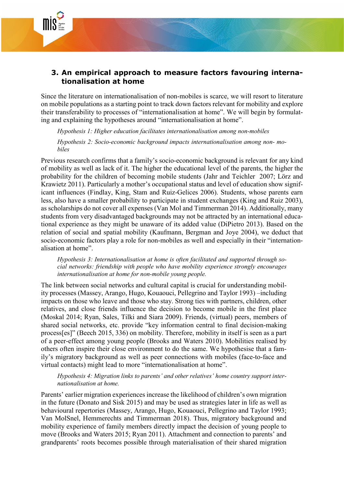

## **3. An empirical approach to measure factors favouring internationalisation at home**

Since the literature on internationalisation of non-mobiles is scarce, we will resort to literature on mobile populations as a starting point to track down factors relevant for mobility and explore their transferability to processes of "internationalisation at home". We will begin by formulating and explaining the hypotheses around "internationalisation at home".

*Hypothesis 1: Higher education facilitates internationalisation among non-mobiles*

*Hypothesis 2: Socio-economic background impacts internationalisation among non- mobiles*

Previous research confirms that a family's socio-economic background is relevant for any kind of mobility as well as lack of it. The higher the educational level of the parents, the higher the probability for the children of becoming mobile students (Jahr and Teichler 2007; Lörz and Krawietz 2011). Particularly a mother's occupational status and level of education show significant influences (Findlay, King, Stam and Ruiz-Gelices 2006). Students, whose parents earn less, also have a smaller probability to participate in student exchanges (King and Ruiz 2003), as scholarships do not cover all expenses (Van Mol and Timmerman 2014). Additionally, many students from very disadvantaged backgrounds may not be attracted by an international educational experience as they might be unaware of its added value (DiPietro 2013). Based on the relation of social and spatial mobility (Kaufmann, Bergman and Joye 2004), we deduct that socio-economic factors play a role for non-mobiles as well and especially in their "internationalisation at home".

*Hypothesis 3: Internationalisation at home is often facilitated and supported through social networks: friendship with people who have mobility experience strongly encourages internationalisation at home for non-mobile young people.*

The link between social networks and cultural capital is crucial for understanding mobility processes (Massey, Arango, Hugo, Kouaouci, Pellegrino and Taylor 1993) –including impacts on those who leave and those who stay. Strong ties with partners, children, other relatives, and close friends influence the decision to become mobile in the first place (Moskal 2014; Ryan, Sales, Tilki and Siara 2009). Friends, (virtual) peers, members of shared social networks, etc. provide "key information central to final decision-making process[es]" (Beech 2015, 336) on mobility. Therefore, mobility in itself is seen as a part of a peer-effect among young people (Brooks and Waters 2010). Mobilities realised by others often inspire their close environment to do the same. We hypothesise that a family's migratory background as well as peer connections with mobiles (face-to-face and virtual contacts) might lead to more "internationalisation at home".

*Hypothesis 4: Migration links to parents' and other relatives' home country support internationalisation at home.*

Parents' earlier migration experiences increase the likelihood of children's own migration in the future (Donato and Sisk 2015) and may be used as strategies later in life as well as behavioural repertories (Massey, Arango, Hugo, Kouaouci, Pellegrino and Taylor 1993; Van MolSnel, Hemmerechts and Timmerman 2018). Thus, migratory background and mobility experience of family members directly impact the decision of young people to move (Brooks and Waters 2015; Ryan 2011). Attachment and connection to parents' and grandparents' roots becomes possible through materialisation of their shared migration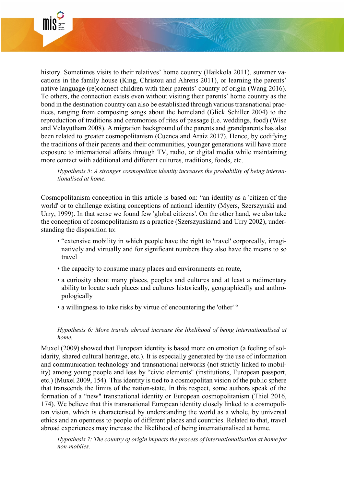

history. Sometimes visits to their relatives' home country (Haikkola 2011), summer vacations in the family house (King, Christou and Ahrens 2011), or learning the parents' native language (re)connect children with their parents' country of origin (Wang 2016). To others, the connection exists even without visiting their parents' home country as the bond in the destination country can also be established through various transnational practices, ranging from composing songs about the homeland (Glick Schiller 2004) to the reproduction of traditions and ceremonies of rites of passage (i.e. weddings, food) (Wise and Velayutham 2008). A migration background of the parents and grandparents has also been related to greater cosmopolitanism (Cuenca and Araiz 2017). Hence, by codifying the traditions of their parents and their communities, younger generations will have more exposure to international affairs through TV, radio, or digital media while maintaining more contact with additional and different cultures, traditions, foods, etc.

*Hypothesis 5: A stronger cosmopolitan identity increases the probability of being internationalised at home.* 

Cosmopolitanism conception in this article is based on: "an identity as a 'citizen of the world' or to challenge existing conceptions of national identity (Myers, Szerszynski and Urry, 1999). In that sense we found few 'global citizens'. On the other hand, we also take the conception of cosmopolitanism as a practice (Szerszynskiand and Urry 2002), understanding the disposition to:

- "extensive mobility in which people have the right to 'travel' corporeally, imaginatively and virtually and for significant numbers they also have the means to so travel
- the capacity to consume many places and environments en route,
- a curiosity about many places, peoples and cultures and at least a rudimentary ability to locate such places and cultures historically, geographically and anthropologically
- a willingness to take risks by virtue of encountering the 'other' "

#### *Hypothesis 6: More travels abroad increase the likelihood of being internationalised at home.*

Muxel (2009) showed that European identity is based more on emotion (a feeling of solidarity, shared cultural heritage, etc.). It is especially generated by the use of information and communication technology and transnational networks (not strictly linked to mobility) among young people and less by "civic elements" (institutions, European passport, etc.) (Muxel 2009, 154). This identity is tied to a cosmopolitan vision of the public sphere that transcends the limits of the nation-state. In this respect, some authors speak of the formation of a "new" transnational identity or European cosmopolitanism (Thiel 2016, 174). We believe that this transnational European identity closely linked to a cosmopolitan vision, which is characterised by understanding the world as a whole, by universal ethics and an openness to people of different places and countries. Related to that, travel abroad experiences may increase the likelihood of being internationalised at home.

*Hypothesis 7: The country of origin impacts the process of internationalisation at home for non-mobiles.*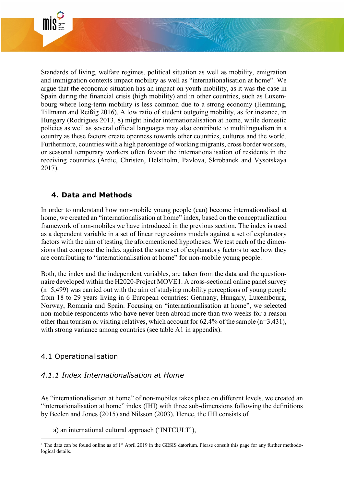

Standards of living, welfare regimes, political situation as well as mobility, emigration and immigration contexts impact mobility as well as "internationalisation at home". We argue that the economic situation has an impact on youth mobility, as it was the case in Spain during the financial crisis (high mobility) and in other countries, such as Luxembourg where long-term mobility is less common due to a strong economy (Hemming, Tillmann and Reißig 2016). A low ratio of student outgoing mobility, as for instance, in Hungary (Rodrigues 2013, 8) might hinder internationalisation at home, while domestic policies as well as several official languages may also contribute to multilingualism in a country as these factors create openness towards other countries, cultures and the world. Furthermore, countries with a high percentage of working migrants, cross border workers, or seasonal temporary workers often favour the internationalisation of residents in the receiving countries (Ardic, Christen, Helstholm, Pavlova, Skrobanek and Vysotskaya 2017).

## **4. Data and Methods**

In order to understand how non-mobile young people (can) become internationalised at home, we created an "internationalisation at home" index, based on the conceptualization framework of non-mobiles we have introduced in the previous section. The index is used as a dependent variable in a set of linear regressions models against a set of explanatory factors with the aim of testing the aforementioned hypotheses. We test each of the dimensions that compose the index against the same set of explanatory factors to see how they are contributing to "internationalisation at home" for non-mobile young people.

Both, the index and the independent variables, are taken from the data and the questionnaire developed within the H2020-Project MOVE[1.](#page-8-0) A cross-sectional online panel survey (n=5,499) was carried out with the aim of studying mobility perceptions of young people from 18 to 29 years living in 6 European countries: Germany, Hungary, Luxembourg, Norway, Romania and Spain. Focusing on "internationalisation at home", we selected non-mobile respondents who have never been abroad more than two weeks for a reason other than tourism or visiting relatives, which account for  $62.4\%$  of the sample (n=3,431), with strong variance among countries (see table A1 in appendix).

## 4.1 Operationalisation

## *4.1.1 Index Internationalisation at Home*

As "internationalisation at home" of non-mobiles takes place on different levels, we created an "internationalisation at home" index (IHI) with three sub-dimensions following the definitions by Beelen and Jones (2015) and Nilsson (2003). Hence, the IHI consists of

a) an international cultural approach ('INTCULT'),

<span id="page-8-0"></span><sup>&</sup>lt;sup>1</sup> The data can be found online as of 1<sup>st</sup> April 2019 in the [GESIS datorium.](https://datorium.gesis.org/xmlui/handle/10.7802/1636) Please consult this page for any further methodological details.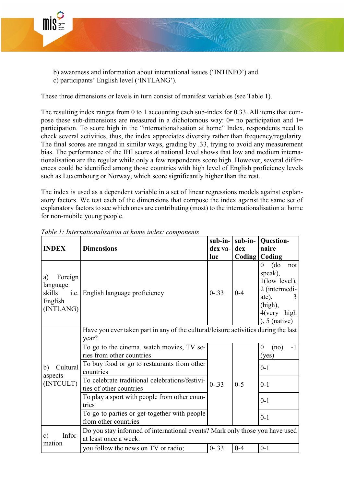

- b) awareness and information about international issues ('INTINFO') and
- c) participants' English level ('INTLANG').

These three dimensions or levels in turn consist of manifest variables (see Table 1).

The resulting index ranges from 0 to 1 accounting each sub-index for 0.33. All items that compose these sub-dimensions are measured in a dichotomous way:  $0=$  no participation and  $1=$ participation. To score high in the "internationalisation at home" Index, respondents need to check several activities, thus, the index appreciates diversity rather than frequency/regularity. The final scores are ranged in similar ways, grading by .33, trying to avoid any measurement bias. The performance of the IHI scores at national level shows that low and medium internationalisation are the regular while only a few respondents score high. However, several differences could be identified among those countries with high level of English proficiency levels such as Luxembourg or Norway, which score significantly higher than the rest.

The index is used as a dependent variable in a set of linear regressions models against explanatory factors. We test each of the dimensions that compose the index against the same set of explanatory factors to see which ones are contributing (most) to the internationalisation at home for non-mobile young people.

|                                                             |                                                                                                      | sub-in-<br>sub-in- |         |                                                                                                                                             |  |  |  |  |
|-------------------------------------------------------------|------------------------------------------------------------------------------------------------------|--------------------|---------|---------------------------------------------------------------------------------------------------------------------------------------------|--|--|--|--|
| <b>INDEX</b>                                                | <b>Dimensions</b>                                                                                    | dex va-<br>lue     | dex     | naire<br>Coding   Coding                                                                                                                    |  |  |  |  |
| Foreign<br>a)<br>language<br>skills<br>English<br>(INTLANG) | i.e. English language proficiency                                                                    | $0 - .33$          | $0 - 4$ | $\rm (do)$<br>$\overline{0}$<br>not<br>speak),<br>$1$ (low level),<br>2 (intermedi-<br>ate),<br>(high),<br>$4$ (very high<br>$, 5$ (native) |  |  |  |  |
|                                                             | Have you ever taken part in any of the cultural/leisure activities during the last<br>year?          |                    |         |                                                                                                                                             |  |  |  |  |
|                                                             | To go to the cinema, watch movies, TV se-<br>ries from other countries                               |                    |         | $\overline{0}$<br>-1<br>(no)<br>(yes)                                                                                                       |  |  |  |  |
| Cultural<br>b)<br>aspects                                   | To buy food or go to restaurants from other<br>countries                                             |                    |         | $0 - 1$                                                                                                                                     |  |  |  |  |
| (INTCULT)                                                   | To celebrate traditional celebrations/festivi-<br>ties of other countries                            | $0 - 5$            | $0-1$   |                                                                                                                                             |  |  |  |  |
|                                                             | To play a sport with people from other coun-<br>tries                                                |                    |         | $0 - 1$                                                                                                                                     |  |  |  |  |
|                                                             | To go to parties or get-together with people<br>from other countries                                 |                    |         | $0 - 1$                                                                                                                                     |  |  |  |  |
| Infor-<br>c)                                                | Do you stay informed of international events? Mark only those you have used<br>at least once a week: |                    |         |                                                                                                                                             |  |  |  |  |
| mation                                                      | you follow the news on TV or radio;                                                                  | $0 - 33$           | $0 - 4$ | $0-1$                                                                                                                                       |  |  |  |  |

*Table 1: Internationalisation at home index: components*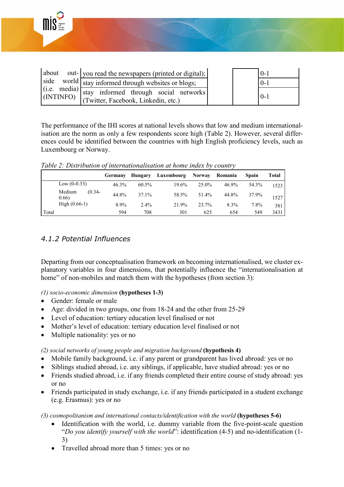

The performance of the IHI scores at national levels shows that low and medium internationalisation are the norm as only a few respondents score high (Table 2). However, several differences could be identified between the countries with high English proficiency levels, such as Luxembourg or Norway.

*Table 2: Distribution of internationalisation at home index by country*

|       |                              | Germany | Hungary | Luxembourg | Norway | Romania | Spain | Total |
|-------|------------------------------|---------|---------|------------|--------|---------|-------|-------|
|       | Low $(0-0.33)$               | 46.3%   | 60.5%   | 19.6%      | 25.0%  | 46.9%   | 54.3% | 1523  |
|       | Medium<br>$(0.34 -$<br>0.66) | 44.8%   | 37.1%   | 58.5%      | 51.4%  | 44.8%   | 37.9% | 1527  |
|       | High $(0.66-1)$              | 8.9%    | $2.4\%$ | 21.9%      | 23.7%  | 8.3%    | 7.8%  | 381   |
| Total |                              | 594     | 708     | 301        | 625    | 654     | 549   | 3431  |

## *4.1.2 Potential Influences*

Departing from our conceptualisation framework on becoming internationalised, we cluster explanatory variables in four dimensions, that potentially influence the "internationalisation at home" of non-mobiles and match them with the hypotheses (from section 3):

*(1) socio-economic dimension* **(hypotheses 1-3)**

- Gender: female or male
- Age: divided in two groups, one from 18-24 and the other from 25-29
- Level of education: tertiary education level finalised or not
- Mother's level of education: tertiary education level finalised or not
- Multiple nationality: yes or no

#### *(2) social networks of young people and migration background* **(hypothesis 4)**

- Mobile family background, i.e. if any parent or grandparent has lived abroad: yes or no
- Siblings studied abroad, i.e. any siblings, if applicable, have studied abroad: yes or no
- Friends studied abroad, i.e. if any friends completed their entire course of study abroad: yes or no
- Friends participated in study exchange, i.e. if any friends participated in a student exchange (e.g. Erasmus): yes or no

*(3) cosmopolitanism and international contacts/identification with the world* **(hypotheses 5-6)**

- Identification with the world, i.e. dummy variable from the five-point-scale question "*Do you identify yourself with the world*": identification (4-5) and no-identification (1- 3)
- Travelled abroad more than 5 times: yes or no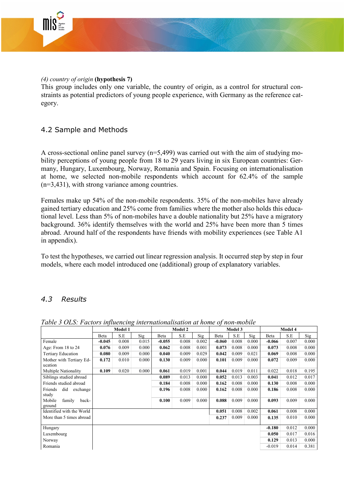

#### *(4) country of origin* **(hypothesis 7)**

This group includes only one variable, the country of origin, as a control for structural constraints as potential predictors of young people experience, with Germany as the reference category.

### 4.2 Sample and Methods

A cross-sectional online panel survey (n=5,499) was carried out with the aim of studying mobility perceptions of young people from 18 to 29 years living in six European countries: Germany, Hungary, Luxembourg, Norway, Romania and Spain. Focusing on internationalisation at home, we selected non-mobile respondents which account for 62.4% of the sample (n=3,431), with strong variance among countries.

Females make up 54% of the non-mobile respondents. 35% of the non-mobiles have already gained tertiary education and 25% come from families where the mother also holds this educational level. Less than 5% of non-mobiles have a double nationality but 25% have a migratory background. 36% identify themselves with the world and 25% have been more than 5 times abroad. Around half of the respondents have friends with mobility experiences (see Table A1 in appendix).

To test the hypotheses, we carried out linear regression analysis. It occurred step by step in four models, where each model introduced one (additional) group of explanatory variables.

## *4.3 Results*

|                                     | Model 1  |       |       | <b>Model 2</b> |       | Model 3 |          |       | Model 4 |          |       |       |
|-------------------------------------|----------|-------|-------|----------------|-------|---------|----------|-------|---------|----------|-------|-------|
|                                     | Beta     | S.E   | Sig   | Beta           | S.E   | Sig     | Beta     | S.E   | Sig     | Beta     | S.E   | Sig   |
| Female                              | $-0.045$ | 0.008 | 0.015 | $-0.055$       | 0.008 | 0.002   | $-0.060$ | 0.008 | 0.000   | $-0.066$ | 0.007 | 0.000 |
| Age: From 18 to 24                  | 0.076    | 0.009 | 0.000 | 0.062          | 0.008 | 0.001   | 0.073    | 0.008 | 0.000   | 0.073    | 0.008 | 0.000 |
| <b>Tertiary Education</b>           | 0.080    | 0.009 | 0.000 | 0.040          | 0.009 | 0.029   | 0.042    | 0.009 | 0.021   | 0.069    | 0.008 | 0.000 |
| Mother with Tertiary Ed-            | 0.172    | 0.010 | 0.000 | 0.130          | 0.009 | 0.000   | 0.101    | 0.009 | 0.000   | 0.072    | 0.009 | 0.000 |
| ucation                             |          |       |       |                |       |         |          |       |         |          |       |       |
| Multiple Nationality                | 0.109    | 0.020 | 0.000 | 0.061          | 0.019 | 0.001   | 0.044    | 0.019 | 0.011   | 0.022    | 0.018 | 0.195 |
| Siblings studied abroad             |          |       |       | 0.089          | 0.013 | 0.000   | 0.052    | 0.013 | 0.003   | 0.041    | 0.012 | 0.017 |
| Friends studied abroad              |          |       |       | 0.184          | 0.008 | 0.000   | 0.162    | 0.008 | 0.000   | 0.130    | 0.008 | 0.000 |
| Friends<br>did<br>exchange          |          |       |       | 0.196          | 0.008 | 0.000   | 0.162    | 0.008 | 0.000   | 0.186    | 0.008 | 0.000 |
| study                               |          |       |       |                |       |         |          |       |         |          |       |       |
| Mobile<br>family<br>back-<br>ground |          |       |       | 0.100          | 0.009 | 0.000   | 0.088    | 0.009 | 0.000   | 0.093    | 0.009 | 0.000 |
| Identified with the World           |          |       |       |                |       |         | 0.051    | 0.008 | 0.002   | 0.061    | 0.008 | 0.000 |
| More than 5 times abroad            |          |       |       |                |       |         | 0.237    | 0.009 | 0.000   | 0.135    | 0.010 | 0.000 |
|                                     |          |       |       |                |       |         |          |       |         |          |       |       |
| Hungary                             |          |       |       |                |       |         |          |       |         | $-0.180$ | 0.012 | 0.000 |
| Luxembourg                          |          |       |       |                |       |         |          |       |         | 0.050    | 0.017 | 0.016 |
| Norway                              |          |       |       |                |       |         |          |       |         | 0.129    | 0.013 | 0.000 |
| Romania                             |          |       |       |                |       |         |          |       |         | $-0.019$ | 0.014 | 0.381 |
|                                     |          |       |       |                |       |         |          |       |         |          |       |       |

*Table 3 OLS: Factors influencing internationalisation at home of non-mobile*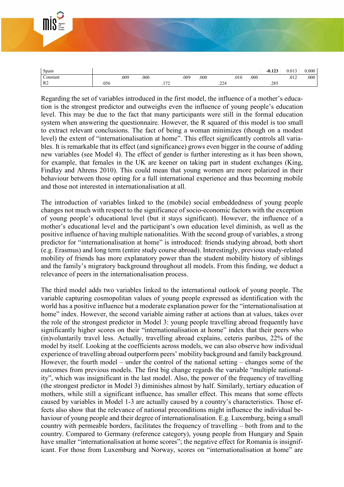| Э.<br>Migration<br>ard<br>Inclusive<br>Societies |  | --------------<br><b><i>CONTRACTOR COMMUNICATIONS</i></b><br>----<br><b>Contract of the Contract of Contract of Section</b><br><b>Service Control</b> |          |       |       |  |
|--------------------------------------------------|--|-------------------------------------------------------------------------------------------------------------------------------------------------------|----------|-------|-------|--|
| Spain                                            |  |                                                                                                                                                       | $-0.123$ | 0.013 | 0.000 |  |

Constant .009 .000 .009 .000 .010 .000 .012 .000

R2 .056 .056 .172 .224 .285

Regarding the set of variables introduced in the first model, the influence of a mother's education is the strongest predictor and outweighs even the influence of young people's education level. This may be due to the fact that many participants were still in the formal education system when answering the questionnaire. However, the R squared of this model is too small to extract relevant conclusions. The fact of being a woman minimizes (though on a modest level) the extent of "internationalisation at home". This effect significantly controls all variables. It is remarkable that its effect (and significance) grows even bigger in the course of adding new variables (see Model 4). The effect of gender is further interesting as it has been shown, for example, that females in the UK are keener on taking part in student exchanges (King, Findlay and Ahrens 2010). This could mean that young women are more polarized in their behaviour between those opting for a full international experience and thus becoming mobile and those not interested in internationalisation at all.

The introduction of variables linked to the (mobile) social embeddedness of young people changes not much with respect to the significance of socio-economic factors with the exception of young people's educational level (but it stays significant). However, the influence of a mother's educational level and the participant's own education level diminish, as well as the positive influence of having multiple nationalities. With the second group of variables, a strong predictor for "internationalisation at home" is introduced: friends studying abroad, both short (e.g. Erasmus) and long term (entire study course abroad). Interestingly, previous study-related mobility of friends has more explanatory power than the student mobility history of siblings and the family's migratory background throughout all models. From this finding, we deduct a relevance of peers in the internationalisation process.

The third model adds two variables linked to the international outlook of young people. The variable capturing cosmopolitan values of young people expressed as identification with the world has a positive influence but a moderate explanation power for the "internationalisation at home" index. However, the second variable aiming rather at actions than at values, takes over the role of the strongest predictor in Model 3: young people travelling abroad frequently have significantly higher scores on their "internationalisation at home" index that their peers who (in)voluntarily travel less. Actually, travelling abroad explains, ceteris paribus, 22% of the model by itself. Looking at the coefficients across models, we can also observe how individual experience of travelling abroad outperform peers' mobility background and family background. However, the fourth model – under the control of the national setting – changes some of the outcomes from previous models. The first big change regards the variable "multiple nationality", which was insignificant in the last model. Also, the power of the frequency of travelling (the strongest predictor in Model 3) diminishes almost by half. Similarly, tertiary education of mothers, while still a significant influence, has smaller effect. This means that some effects caused by variables in Model 1-3 are actually caused by a country's characteristics. Those effects also show that the relevance of national preconditions might influence the individual behaviour of young people and their degree of internationalisation. E.g. Luxemburg, being a small country with permeable borders, facilitates the frequency of travelling – both from and to the country. Compared to Germany (reference category), young people from Hungary and Spain have smaller "internationalisation at home scores"; the negative effect for Romania is insignificant. For those from Luxemburg and Norway, scores on "internationalisation at home" are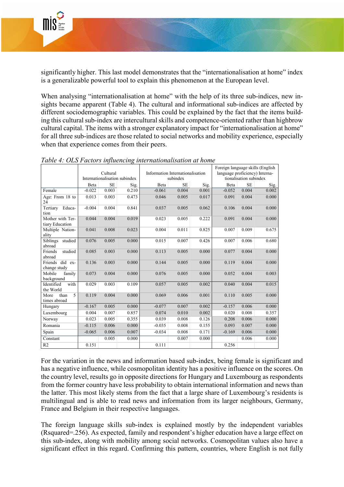

significantly higher. This last model demonstrates that the "internationalisation at home" index is a generalizable powerful tool to explain this phenomenon at the European level.

When analysing "internationalisation at home" with the help of its three sub-indices, new insights became apparent (Table 4). The cultural and informational sub-indices are affected by different sociodemographic variables. This could be explained by the fact that the items building this cultural sub-index are intercultural skills and competence-oriented rather than highbrow cultural capital. The items with a stronger explanatory impact for "internationalisation at home" for all three sub-indices are those related to social networks and mobility experience, especially when that experience comes from their peers.

|                                      |          |           |                               |          |                                  | Foreign language skills (English |                                |           |       |  |
|--------------------------------------|----------|-----------|-------------------------------|----------|----------------------------------|----------------------------------|--------------------------------|-----------|-------|--|
|                                      | Cultural |           |                               |          | Information Internationalisation |                                  | language proficiency) Interna- |           |       |  |
|                                      |          |           | Internationalisation subindex | subindex |                                  |                                  | tionalisation subindex         |           |       |  |
|                                      | Beta     | <b>SE</b> | Sig.                          | Beta     | <b>SE</b>                        | Sig.                             | Beta                           | <b>SE</b> | Sig.  |  |
| Female                               | $-0.022$ | 0.003     | 0.210                         | $-0.061$ | 0.004                            | 0.001                            | $-0.052$                       | 0.004     | 0.002 |  |
| Age: From 18 to<br>24                | 0.013    | 0.003     | 0.473                         | 0.046    | 0.005                            | 0.017                            | 0.091                          | 0.004     | 0.000 |  |
| Educa-<br>Tertiary<br>tion           | $-0.004$ | 0.004     | 0.841                         | 0.037    | 0.005                            | 0.062                            | 0.106                          | 0.004     | 0.000 |  |
| Mother with Ter-<br>tiary Education  | 0.044    | 0.004     | 0.019                         | 0.023    | 0.005                            | 0.222                            | 0.091                          | 0.004     | 0.000 |  |
| Multiple Nation-<br>ality            | 0.041    | 0.008     | 0.023                         | 0.004    | 0.011                            | 0.825                            | 0.007                          | 0.009     | 0.675 |  |
| studied<br><b>Siblings</b><br>abroad | 0.076    | 0.005     | 0.000                         | 0.015    | 0.007                            | 0.426                            | 0.007                          | 0.006     | 0.680 |  |
| Friends<br>studied<br>abroad         | 0.085    | 0.003     | 0.000                         | 0.113    | 0.005                            | 0.000                            | 0.077                          | 0.004     | 0.000 |  |
| Friends did ex-<br>change study      | 0.136    | 0.003     | 0.000                         | 0.144    | 0.005                            | 0.000                            | 0.119                          | 0.004     | 0.000 |  |
| family<br>Mobile<br>background       | 0.073    | 0.004     | 0.000                         | 0.076    | 0.005                            | 0.000                            | 0.052                          | 0.004     | 0.003 |  |
| Identified<br>with<br>the World      | 0.029    | 0.003     | 0.109                         | 0.057    | 0.005                            | 0.002                            | 0.040                          | 0.004     | 0.015 |  |
| 5<br>than<br>More<br>times abroad    | 0.119    | 0.004     | 0.000                         | 0.069    | 0.006                            | 0.001                            | 0.110                          | 0.005     | 0.000 |  |
| Hungary                              | $-0.167$ | 0.005     | 0.000                         | $-0.077$ | 0.007                            | 0.002                            | $-0.157$                       | 0.006     | 0.000 |  |
| Luxembourg                           | 0.004    | 0.007     | 0.857                         | 0.074    | 0.010                            | 0.002                            | 0.020                          | 0.008     | 0.357 |  |
| Norway                               | 0.023    | 0.005     | 0.355                         | 0.039    | 0.008                            | 0.126                            | 0.208                          | 0.006     | 0.000 |  |
| Romania                              | $-0.115$ | 0.006     | 0.000                         | $-0.035$ | 0.008                            | 0.155                            | 0.093                          | 0.007     | 0.000 |  |
| Spain                                | $-0.065$ | 0.006     | 0.007                         | $-0.034$ | 0.008                            | 0.171                            | $-0.169$                       | 0.006     | 0.000 |  |
| Constant                             |          | 0.005     | 0.000                         |          | 0.007                            | 0.000                            |                                | 0.006     | 0.000 |  |
| R <sub>2</sub>                       | 0.151    |           |                               | 0.111    |                                  |                                  | 0.256                          |           |       |  |

*Table 4: OLS Factors influencing internationalisation at home*

For the variation in the news and information based sub-index, being female is significant and has a negative influence, while cosmopolitan identity has a positive influence on the scores. On the country level, results go in opposite directions for Hungary and Luxembourg as respondents from the former country have less probability to obtain international information and news than the latter. This most likely stems from the fact that a large share of Luxembourg's residents is multilingual and is able to read news and information from its larger neighbours, Germany, France and Belgium in their respective languages.

The foreign language skills sub-index is explained mostly by the independent variables (Rsquared=.256). As expected, family and respondent's higher education have a large effect on this sub-index, along with mobility among social networks. Cosmopolitan values also have a significant effect in this regard. Confirming this pattern, countries, where English is not fully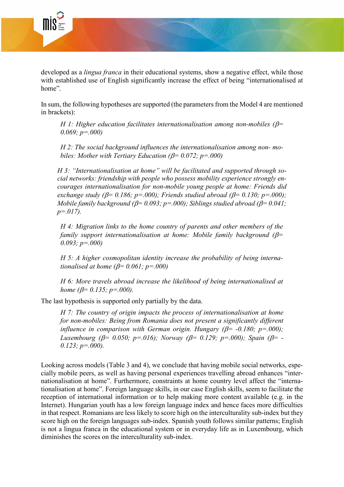

developed as a *lingua franca* in their educational systems, show a negative effect, while those with established use of English significantly increase the effect of being "internationalised at home".

In sum, the following hypotheses are supported (the parameters from the Model 4 are mentioned in brackets):

*H 1: Higher education facilitates internationalisation among non-mobiles (*β*= 0.069; p=.000)*

*H 2: The social background influences the internationalisation among non- mobiles: Mother with Tertiary Education (*β*= 0.072; p=.000)* 

*H 3: "Internationalisation at home" will be facilitated and supported through social networks: friendship with people who possess mobility experience strongly encourages internationalisation for non-mobile young people at home: Friends did exchange study (* $\beta$ = 0.186;  $p$ =.000); *Friends studied abroad (* $\beta$ = 0.130;  $p$ =.000); *Mobile family background (*β*= 0.093; p=.000); Siblings studied abroad (*β*= 0.041; p=.017).*

*H 4: Migration links to the home country of parents and other members of the family support internationalisation at home: Mobile family background (*β*= 0.093; p=.000)*

*H 5: A higher cosmopolitan identity increase the probability of being internationalised at home (*β*= 0.061; p=.000)*

*H 6: More travels abroad increase the likelihood of being internationalised at home (*β*= 0.135; p=.000).*

The last hypothesis is supported only partially by the data.

*H 7: The country of origin impacts the process of internationalisation at home for non-mobiles: Being from Romania does not present a significantly different influence in comparison with German origin. Hungary (*β*= -0.180; p=.000); Luxembourg (*β*= 0.050; p=.016); Norway (*β*= 0.129; p=.000); Spain (*β*= - 0.123; p=.000).* 

Looking across models (Table 3 and 4), we conclude that having mobile social networks, especially mobile peers, as well as having personal experiences travelling abroad enhances "internationalisation at home". Furthermore, constraints at home country level affect the "internationalisation at home". Foreign language skills, in our case English skills, seem to facilitate the reception of international information or to help making more content available (e.g. in the Internet). Hungarian youth has a low foreign language index and hence faces more difficulties in that respect. Romanians are less likely to score high on the interculturality sub-index but they score high on the foreign languages sub-index. Spanish youth follows similar patterns; English is not a lingua franca in the educational system or in everyday life as in Luxembourg, which diminishes the scores on the interculturality sub-index.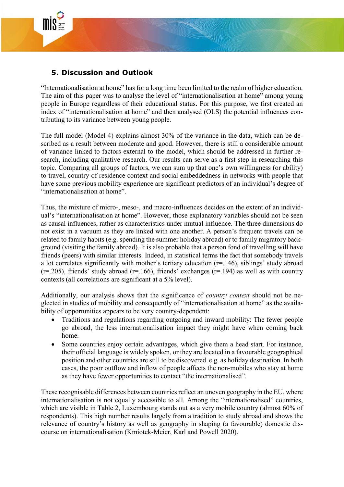

## **5. Discussion and Outlook**

"Internationalisation at home" has for a long time been limited to the realm of higher education. The aim of this paper was to analyse the level of "internationalisation at home" among young people in Europe regardless of their educational status. For this purpose, we first created an index of "internationalisation at home" and then analysed (OLS) the potential influences contributing to its variance between young people.

The full model (Model 4) explains almost 30% of the variance in the data, which can be described as a result between moderate and good. However, there is still a considerable amount of variance linked to factors external to the model, which should be addressed in further research, including qualitative research. Our results can serve as a first step in researching this topic. Comparing all groups of factors, we can sum up that one's own willingness (or ability) to travel, country of residence context and social embeddedness in networks with people that have some previous mobility experience are significant predictors of an individual's degree of "internationalisation at home".

Thus, the mixture of micro-, meso-, and macro-influences decides on the extent of an individual's "internationalisation at home". However, those explanatory variables should not be seen as causal influences, rather as characteristics under mutual influence. The three dimensions do not exist in a vacuum as they are linked with one another. A person's frequent travels can be related to family habits (e.g. spending the summer holiday abroad) or to family migratory background (visiting the family abroad). It is also probable that a person fond of travelling will have friends (peers) with similar interests. Indeed, in statistical terms the fact that somebody travels a lot correlates significantly with mother's tertiary education  $(r=146)$ , siblings' study abroad  $(r=205)$ , friends' study abroad (r=.166), friends' exchanges (r=.194) as well as with country contexts (all correlations are significant at a 5% level).

Additionally, our analysis shows that the significance of *country context* should not be neglected in studies of mobility and consequently of "internationalisation at home" as the availability of opportunities appears to be very country-dependent:

- Traditions and regulations regarding outgoing and inward mobility: The fewer people go abroad, the less internationalisation impact they might have when coming back home.
- Some countries enjoy certain advantages, which give them a head start. For instance, their official language is widely spoken, or they are located in a favourable geographical position and other countries are still to be discovered e.g. as holiday destination. In both cases, the poor outflow and inflow of people affects the non-mobiles who stay at home as they have fewer opportunities to contact "the internationalised".

These recognisable differences between countries reflect an uneven geography in the EU, where internationalisation is not equally accessible to all. Among the "internationalised" countries, which are visible in Table 2, Luxembourg stands out as a very mobile country (almost 60% of respondents). This high number results largely from a tradition to study abroad and shows the relevance of country's history as well as geography in shaping (a favourable) domestic discourse on internationalisation (Kmiotek-Meier, Karl and Powell 2020).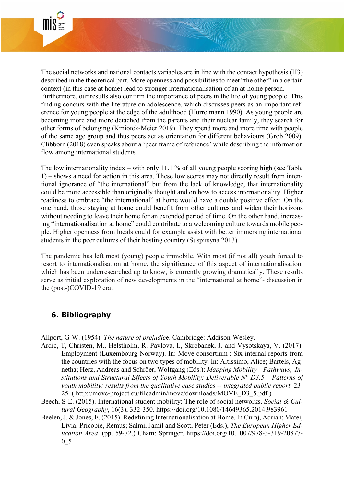

The social networks and national contacts variables are in line with the contact hypothesis (H3) described in the theoretical part. More openness and possibilities to meet "the other" in a certain context (in this case at home) lead to stronger internationalisation of an at-home person. Furthermore, our results also confirm the importance of peers in the life of young people. This finding concurs with the literature on adolescence, which discusses peers as an important reference for young people at the edge of the adulthood (Hurrelmann 1990). As young people are becoming more and more detached from the parents and their nuclear family, they search for other forms of belonging (Kmiotek-Meier 2019). They spend more and more time with people of the same age group and thus peers act as orientation for different behaviours (Grob 2009). Clibborn (2018) even speaks about a 'peer frame of reference' while describing the information flow among international students.

The low internationality index – with only 11.1 % of all young people scoring high (see Table 1) – shows a need for action in this area. These low scores may not directly result from intentional ignorance of "the international" but from the lack of knowledge, that internationality could be more accessible than originally thought and on how to access internationality. Higher readiness to embrace "the international" at home would have a double positive effect. On the one hand, those staying at home could benefit from other cultures and widen their horizons without needing to leave their home for an extended period of time. On the other hand, increasing "internationalisation at home" could contribute to a welcoming culture towards mobile people. Higher openness from locals could for example assist with better immersing international students in the peer cultures of their hosting country (Suspitsyna 2013).

The pandemic has left most (young) people immobile. With most (if not all) youth forced to resort to internationalisation at home, the significance of this aspect of internationalisation, which has been underresearched up to know, is currently growing dramatically. These results serve as initial exploration of new developments in the "international at home"- discussion in the (post-)COVID-19 era.

## **6. Bibliography**

Allport, G-W. (1954). *The nature of prejudic*e. Cambridge: Addison-Wesley.

- Ardic, T, Christen, M., Helstholm, R. Pavlova, I., Skrobanek, J. and Vysotskaya, V. (2017). Employment (Luxembourg-Norway). In: Move consortium : Six internal reports from the countries with the focus on two types of mobility. In: Altissimo, Alice; Bartels, Agnetha; Herz, Andreas and Schröer, Wolfgang (Eds.): *Mapping Mobility – Pathways, Institutions and Structural Effects of Youth Mobility: Deliverable N° D3.5 – Patterns of youth mobility: results from the qualitative case studies -- integrated public report*. 23- 25. ( [http://move-project.eu/fileadmin/move/downloads/MOVE\\_D3\\_5.pdf](http://move-project.eu/fileadmin/move/downloads/MOVE_D3_5.pdf) )
- Beech, S-E. (2015). International student mobility: The role of social networks. *Social & Cultural Geography*, 16(3), 332-350.<https://doi.org/10.1080/14649365.2014.983961>
- Beelen, J. & Jones, E. (2015). Redefining Internationalisation at Home. In Curaj, Adrian; Matei, Livia; Pricopie, Remus; Salmi, Jamil and Scott, Peter (Eds.), *The European Higher Education Area*. (pp. 59-72.) Cham: Springer. https://doi.org/10.1007/978-3-319-20877- 0\_5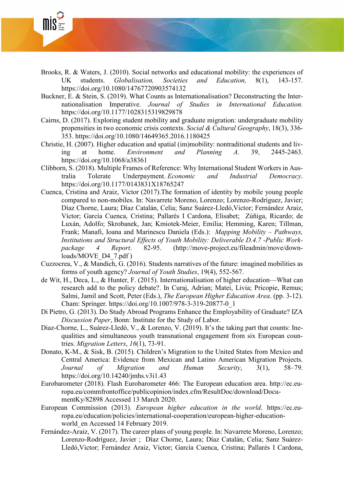

- Brooks, R. & Waters, J. (2010). Social networks and educational mobility: the experiences of UK students. *Globalisation, Societies and Education,* 8(1), 143-157. <https://doi.org/10.1080/14767720903574132>
- Buckner, E. & Stein, S. (2019). What Counts as Internationalisation? Deconstructing the Internationalisation Imperative. *Journal of Studies in International Education.* [https://doi.org/10.1177/1028315319829878](https://doi.org/10.1177%2F1028315319829878)
- Cairns, D. (2017). Exploring student mobility and graduate migration: undergraduate mobility propensities in two economic crisis contexts. *Social & Cultural Geography*, 18(3), 336- 353.<https://doi.org/10.1080/14649365.2016.1180425>
- Christie, H. (2007). Higher education and spatial (im)mobility: nontraditional students and living at home. *Environment and Planning A*. 39, 2445-2463. [https://doi.org/10.1068/a38361](https://doi.org/10.1068%2Fa38361)
- Clibborn, S. (2018). Multiple Frames of Reference: Why International Student Workers in Australia Tolerate Underpayment. *Economic and Industrial Democracy*. [https://doi.org/10.1177/0143831X18765247](https://doi.org/10.1177%2F0143831X18765247)
- Cuenca, Cristina and Araiz, Victor (2017).The formation of identity by mobile young people compared to non-mobiles. In: Navarrete Moreno, Lorenzo; Lorenzo-Rodríguez, Javier; Díaz Chorne, Laura; Díaz Catalán, Celia; Sanz Suárez-Lledó,Victor; Fernández Araiz, Víctor; García Cuenca, Cristina; Pallarés I Cardona, Elisabet; Zúñiga, Ricardo; de Luxán, Adolfo; Skrobanek, Jan; Kmiotek-Meier, Emilia; Hemming, Karen; Tillman, Frank; Manafi, Ioana and Marinescu Daniela (Eds.): *Mapping Mobility – Pathways, Institutions and Structural Effects of Youth Mobility: Deliverable D.4.7 -Public Workpackage 4 Report*. 82-95. [\(http://move-project.eu/fileadmin/move/down](http://move-project.eu/fileadmin/move/downloads/MOVE_D4_7.pdf)[loads/MOVE\\_D4\\_7.pdf](http://move-project.eu/fileadmin/move/downloads/MOVE_D4_7.pdf) )
- Cuzzocrea, V., & Mandich, G. (2016). Students narratives of the future: imagined mobilities as forms of youth agency? *Journal of Youth Studies*, 19(4), 552-567.
- de Wit, H., Deca, L., & Hunter, F. (2015). Internationalisation of higher education—What can research add to the policy debate?. In Curaj, Adrian; Matei, Livia; Pricopie, Remus; Salmi, Jamil and Scott, Peter (Eds.), *The European Higher Education Area*. (pp. 3-12). Cham: Springer. https://doi.org/10.1007/978-3-319-20877-0\_1
- Di Pietro, G. (2013). Do Study Abroad Programs Enhance the Employability of Graduate? IZA *Discussion Paper*, Bonn: Institute for the Study of Labor.
- Diaz-Chorne, L., Suárez-Lledó, V., & Lorenzo, V. (2019). It's the taking part that counts: Inequalities and simultaneous youth transnational engagement from six European countries. *Migration Letters*, *16*(1), 73-91.
- Donato, K-M., & Sisk, B. (2015). Children's Migration to the United States from Mexico and Central America: Evidence from Mexican and Latino American Migration Projects. *Journal of Migration and Human Security*, 3(1), 58–79. <https://doi.org/10.14240/jmhs.v3i1.43>
- Eurobarometer (2018). Flash Eurobarometer 466: The European education area. [http://ec.eu](http://ec.europa.eu/commfrontoffice/publicopinion/index.cfm/ResultDoc/download/DocumentKy/82898)[ropa.eu/commfrontoffice/publicopinion/index.cfm/ResultDoc/download/Docu](http://ec.europa.eu/commfrontoffice/publicopinion/index.cfm/ResultDoc/download/DocumentKy/82898)[mentKy/82898](http://ec.europa.eu/commfrontoffice/publicopinion/index.cfm/ResultDoc/download/DocumentKy/82898) Accessed 13 March 2020.
- European Commission (2013). *European higher education in the world*. [https://ec.eu](https://ec.europa.eu/education/policies/international-cooperation/european-higher-education-world_en)[ropa.eu/education/policies/international-cooperation/european-higher-education](https://ec.europa.eu/education/policies/international-cooperation/european-higher-education-world_en)world en Accessed 14 February 2019.
- Fernández-Araiz, V. (2017). The career plans of young people. In: Navarrete Moreno, Lorenzo; Lorenzo-Rodríguez, Javier ; Díaz Chorne, Laura; Díaz Catalán, Celia; Sanz Suárez-Lledó,Victor; Fernández Araiz, Víctor; García Cuenca, Cristina; Pallarés I Cardona,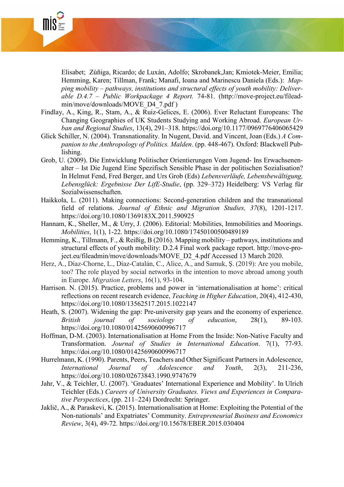

Elisabet; Zúñiga, Ricardo; de Luxán, Adolfo; Skrobanek,Jan; Kmiotek-Meier, Emilia; Hemming, Karen; Tillman, Frank; Manafi, Ioana and Marinescu Daniela (Eds.): *Mapping mobility – pathways, institutions and structural effects of youth mobility: Deliverable D.4.7 – Public Workpackage 4 Report.* 74-81. [\(http://move-project.eu/filead](http://move-project.eu/fileadmin/move/downloads/MOVE_D4_7.pdf)[min/move/downloads/MOVE\\_D4\\_7.pdf](http://move-project.eu/fileadmin/move/downloads/MOVE_D4_7.pdf) )

- Findlay, A., King, R., Stam, A., & Ruiz-Gelices, E. (2006). Ever Reluctant Europeans: The Changing Geographies of UK Students Studying and Working Abroad. *European Urban and Regional Studies*, 13(4), 291–318. [https://doi.org/10.1177/0969776406065429](https://doi.org/10.1177%2F0969776406065429)
- Glick Schiller, N. (2004). Transnationality. In Nugent, David. and Vincent, Joan (Eds.) *A Companion to the Anthropology of Politics. Malden*. (pp. 448-467). Oxford: Blackwell Publishing.
- Grob, U. (2009). Die Entwicklung Politischer Orientierungen Vom Jugend- Ins Erwachsenenalter – Ist Die Jugend Eine Spezifisch Sensible Phase in der politischen Sozialisation? In Helmut Fend, Fred Berger, and Urs Grob (Eds) *Lebensverläufe, Lebensbewältigung, Lebensglück: Ergebnisse Der LifE-Studie*, (pp. 329–372) Heidelberg: VS Verlag für Sozialwissenschaften.
- Haikkola, L. (2011). Making connections: Second-generation children and the transnational field of relations. *Journal of Ethnic and Migration Studies, 37*(8), 1201-1217. <https://doi.org/10.1080/1369183X.2011.590925>
- Hannam, K., Sheller, M., & Urry, J. (2006). Editorial: Mobilities, Immobilities and Moorings. *Mobilities*, 1(1), 1-22.<https://doi.org/10.1080/17450100500489189>
- Hemming, K., Tillmann, F., & Reißig, B (2016). Mapping mobility pathways, institutions and structural effects of youth mobility: D.2.4 Final work package report. [http://move-pro](http://move-project.eu/fileadmin/move/downloads/MOVE_D2_4.pdf)[ject.eu/fileadmin/move/downloads/MOVE\\_D2\\_4.pdf](http://move-project.eu/fileadmin/move/downloads/MOVE_D2_4.pdf) Accessed 13 March 2020.
- Herz, A., Díaz-Chorne, L., Díaz-Catalán, C., Alice, A., and Samuk, Ş. (2019): Are you mobile, too? The role played by social networks in the intention to move abroad among youth in Europe. *Migration Letters*, 16(1), 93-104.
- Harrison. N. (2015). Practice, problems and power in 'internationalisation at home': critical reflections on recent research evidence, *Teaching in Higher Education*, 20(4), 412-430, <https://doi.org/10.1080/13562517.2015.1022147>
- Heath, S. (2007). Widening the gap: Pre-university gap years and the economy of experience. *British journal of sociology of education*, 28(1), 89-103. <https://doi.org/10.1080/01425690600996717>
- Hoffman, D-M. (2003). Internationalisation at Home From the Inside: Non-Native Faculty and Transformation. *Journal of Studies in International Education*. 7(1), 77-93. <https://doi.org/10.1080/01425690600996717>
- Hurrelmann, K. (1990). Parents, Peers, Teachers and Other Significant Partners in Adolescence, *International Journal of Adolescence and Youth*, 2(3), 211-236, <https://doi.org/10.1080/02673843.1990.9747679>
- Jahr, V., & Teichler, U. (2007). 'Graduates' International Experience and Mobility'. In Ulrich Teichler (Eds.) *Careers of University Graduates. Views and Experiences in Comparative Perspectices*, (pp. 211–224) Dordrecht: Springer.
- Jaklič, A., & Paraskevi, K. (2015). Internationalisation at Home: Exploiting the Potential of the Non-nationals' and Expatriates' Community. *Entrepreneurial Business and Economics Review*, 3(4), 49-72.<https://doi.org/10.15678/EBER.2015.030404>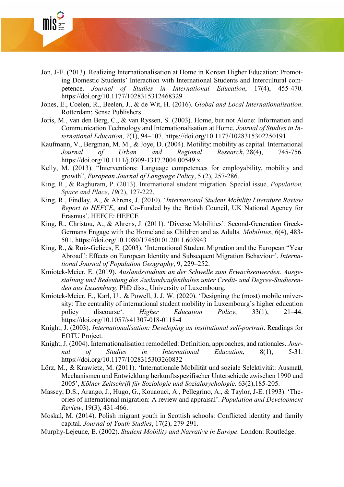

- Jon, J-E. (2013). Realizing Internationalisation at Home in Korean Higher Education: Promoting Domestic Students' Interaction with International Students and Intercultural competence. *Journal of Studies in International Education*, 17(4), 455-470. <https://doi.org/10.1177/1028315312468329>
- Jones, E., Coelen, R., Beelen, J., & de Wit, H. (2016). *Global and Local Internationalisation*. Rotterdam: Sense Publishers
- Joris, M., van den Berg, C., & van Ryssen, S. (2003). Home, but not Alone: Information and Communication Technology and Internationalisation at Home. *Journal of Studies in International Education*, *7*(1), 94–107. <https://doi.org/10.1177/1028315302250191>
- Kaufmann, V., Bergman, M. M., & Joye, D. (2004). Motility: mobility as capital. International *Journal of Urban and Regional Research*, 28(4), 745-756. <https://doi.org/10.1111/j.0309-1317.2004.00549.x>
- Kelly, M. (2013). "Interventions: Language competences for employability, mobility and growth", *European Journal of Language Policy*, 5 (2), 257-286.
- King, R., & Raghuram, P. (2013). International student migration. Special issue. *Population, Space and Place*, *19*(2), 127-222.
- King, R., Findlay, A., & Ahrens, J. (2010). '*International Student Mobility Literature Review Report to HEFCE*, and Co-Funded by the British Council, UK National Agency for Erasmus'. HEFCE: HEFCE
- King, R., Christou, A., & Ahrens, J. (2011). 'Diverse Mobilities': Second-Generation Greek-Germans Engage with the Homeland as Children and as Adults*. Mobilities*, 6(4), 483- 501.<https://doi.org/10.1080/17450101.2011.603943>
- King, R., & Ruiz-Gelices, E. (2003). 'International Student Migration and the European "Year Abroad": Effects on European Identity and Subsequent Migration Behaviour'. *International Journal of Population Geography*, 9, 229–252.
- Kmiotek-Meier, E. (2019). *Auslandsstudium an der Schwelle zum Erwachsenwerden. Ausgestaltung und Bedeutung des Auslandsaufenthaltes unter Credit- und Degree-Studierenden aus Luxemburg*. PhD diss., University of Luxembourg.
- Kmiotek-Meier, E., Karl, U., & Powell, J. J. W. (2020). 'Designing the (most) mobile university: The centrality of international student mobility in Luxembourg's higher education policy discourse'. *Higher Education Policy*, 33(1), 21–44. https://doi.org/10.1057/s41307-018-0118-4
- Knight, J. (2003). *Internationalisation: Developing an institutional self-portrait*. Readings for EOTU Project.
- Knight, J. (2004). Internationalisation remodelled: Definition, approaches, and rationales. *Journal of Studies in International Education*, 8(1), 5-31. [https://doi.org/10.1177/1028315303260832](https://doi.org/10.1177%2F1028315303260832)
- Lörz, M., & Krawietz, M. (2011). 'Internationale Mobilität und soziale Selektivität: Ausmaß, Mechanismen und Entwicklung herkunftsspezifischer Unterschiede zwischen 1990 und 2005', *Kölner Zeitschrift für Soziologie und Sozialpsychologie,* 63(2),185-205.
- Massey, D.S., Arango, J., Hugo, G., Kouaouci, A., Pellegrino, A., & Taylor, J-E. (1993). 'Theories of international migration: A review and appraisal'. *Population and Development Review*, 19(3), 431-466.
- Moskal, M. (2014). Polish migrant youth in Scottish schools: Conflicted identity and family capital. *Journal of Youth Studies*, 17(2), 279-291.
- Murphy-Lejeune, E. (2002). *Student Mobility and Narrative in Europe*. London: Routledge.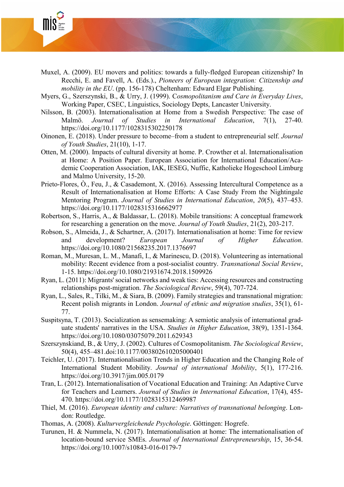

- Muxel, A. (2009). EU movers and politics: towards a fully-fledged European citizenship? In Recchi, E. and Favell, A. (Eds.)., *Pioneers of European integration: Citizenship and mobility in the EU*. (pp. 156-178) Cheltenham: Edward Elgar Publishing.
- Myers, G., Szerszynski, B., & Urry, J. (1999). C*osmopolitanism and Care in Everyday Lives*, Working Paper, CSEC, Linguistics, Sociology Depts, Lancaster University.
- Nilsson, B. (2003). Internationalisation at Home from a Swedish Perspective: The case of Malmö. *Journal of Studies in International Education*, 7(1), 27-40. [https://doi.org/10.1177/1028315302250178](https://doi.org/10.1177%2F1028315302250178)
- Oinonen, E. (2018). Under pressure to become–from a student to entrepreneurial self. *Journal of Youth Studies*, 21(10), 1-17.
- Otten, M. (2000). Impacts of cultural diversity at home. P. Crowther et al. Internationalisation at Home: A Position Paper. European Association for International Education/Academic Cooperation Association, IAK, IESEG, Nuffic, Katholieke Hogeschool Limburg and Malmo University, 15-20.
- Prieto-Flores, Ò., Feu, J., & Casademont, X. (2016). Assessing Intercultural Competence as a Result of Internationalisation at Home Efforts: A Case Study From the Nightingale Mentoring Program. *Journal of Studies in International Education*, *20*(5), 437–453. [https://doi.org/10.1177/1028315316662977](https://doi.org/10.1177%2F1028315316662977)
- Robertson, S., Harris, A., & Baldassar, L. (2018). Mobile transitions: A conceptual framework for researching a generation on the move. *Journal of Youth Studies*, 21(2), 203-217.
- Robson, S., Almeida, J., & Schartner, A. (2017). Internationalisation at home: Time for review and development? *European Journal of Higher Education*. <https://doi.org/10.1080/21568235.2017.1376697>
- Roman, M., Muresan, L. M., Manafi, I., & Marinescu, D. (2018). Volunteering as international mobility: Recent evidence from a post-socialist country. *Transnational Social Review*, 1-15.<https://doi.org/10.1080/21931674.2018.1509926>
- Ryan, L. (2011): Migrants' social networks and weak ties: Accessing resources and constructing relationships post-migration. *The Sociological Review*, 59(4), 707-724.
- Ryan, L., Sales, R., Tilki, M., & Siara, B. (2009). Family strategies and transnational migration: Recent polish migrants in London. *Journal of ethnic and migration studies*, 35(1), 61- 77.
- Suspitsyna, T. (2013). Socialization as sensemaking: A semiotic analysis of international graduate students' narratives in the USA. *Studies in Higher Education*, 38(9), 1351-1364. <https://doi.org/10.1080/03075079.2011.629343>
- Szerszynskiand, B., & Urry, J. (2002). Cultures of Cosmopolitanism. *The Sociological Review*, 50(4), 455–481.doi:10.1177/003802610205000401
- Teichler, U. (2017). Internationalisation Trends in Higher Education and the Changing Role of International Student Mobility. *Journal of international Mobility*, 5(1), 177-216. <https://doi.org/10.3917/jim.005.0179>
- Tran, L. (2012). Internationalisation of Vocational Education and Training: An Adaptive Curve for Teachers and Learners. *Journal of Studies in International Education*, 17(4), 455- 470. [https://doi.org/10.1177/1028315312469987](https://doi.org/10.1177%2F1028315312469987)
- Thiel, M. (2016). *European identity and culture: Narratives of transnational belonging*. London: Routledge.
- Thomas, A. (2008). *Kulturvergleichende Psychologie*. Göttingen: Hogrefe.
- Turunen, H. & Nummela, N. (2017). Internationalisation at home: The internationalisation of location-bound service SMEs. *Journal of International Entrepreneurship*, 15, 36-54. https://doi.org/10.1007/s10843-016-0179-7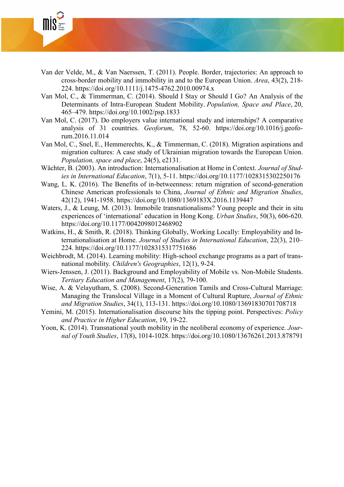

- Van der Velde, M., & Van Naerssen, T. (2011). People. Border, trajectories: An approach to cross-border mobility and immobility in and to the European Union. *Area*, 43(2), 218- 224.<https://doi.org/10.1111/j.1475-4762.2010.00974.x>
- Van Mol, C., & Timmerman, C. (2014). Should I Stay or Should I Go? An Analysis of the Determinants of Intra-European Student Mobility. *Population, Space and Place*, 20, 465–479.<https://doi.org/10.1002/psp.1833>
- Van Mol, C. (2017). Do employers value international study and internships? A comparative analysis of 31 countries. *Geoforum*, 78, 52-60. [https://doi.org/10.1016/j.geofo](https://doi.org/10.1016/j.geoforum.2016.11.014)[rum.2016.11.014](https://doi.org/10.1016/j.geoforum.2016.11.014)
- Van Mol, C., Snel, E., Hemmerechts, K., & Timmerman, C. (2018). Migration aspirations and migration cultures: A case study of Ukrainian migration towards the European Union. *Population, space and place*, 24(5), e2131.
- Wächter, B. (2003). An introduction: Internationalisation at Home in Context. *Journal of Studies in International Education*, 7(1), 5-11. [https://doi.org/10.1177/1028315302250176](https://doi.org/10.1177%2F1028315302250176)
- Wang, L. K. (2016). The Benefits of in-betweenness: return migration of second-generation Chinese American professionals to China, *Journal of Ethnic and Migration Studies*, 42(12), 1941-1958.<https://doi.org/10.1080/1369183X.2016.1139447>
- Waters, J., & Leung, M. (2013). Immobile transnationalisms? Young people and their in situ experiences of 'international' education in Hong Kong. *Urban Studies*, 50(3), 606-620. [https://doi.org/10.1177/0042098012468902](https://doi.org/10.1177%2F0042098012468902)
- Watkins, H., & Smith, R. (2018). Thinking Globally, Working Locally: Employability and Internationalisation at Home. *Journal of Studies in International Education*, 22(3), 210– 224. [https://doi.org/10.1177/1028315317751686](https://doi.org/10.1177%2F1028315317751686)
- Weichbrodt, M. (2014). Learning mobility: High-school exchange programs as a part of transnational mobility. *Children's Geographies*, 12(1), 9-24.
- Wiers-Jenssen, J. (2011). Background and Employability of Mobile vs. Non-Mobile Students. *Tertiary Education and Management*, 17(2), 79-100.
- Wise, A. & Velayutham, S. (2008). Second-Generation Tamils and Cross-Cultural Marriage: Managing the Translocal Village in a Moment of Cultural Rupture, *Journal of Ethnic and Migration Studies*, 34(1), 113-131.<https://doi.org/10.1080/13691830701708718>
- Yemini, M. (2015). Internationalisation discourse hits the tipping point. Perspectives: *Policy and Practice in Higher Education*, 19, 19-22.
- Yoon, K. (2014). Transnational youth mobility in the neoliberal economy of experience. *Journal of Youth Studies*, 17(8), 1014-1028.<https://doi.org/10.1080/13676261.2013.878791>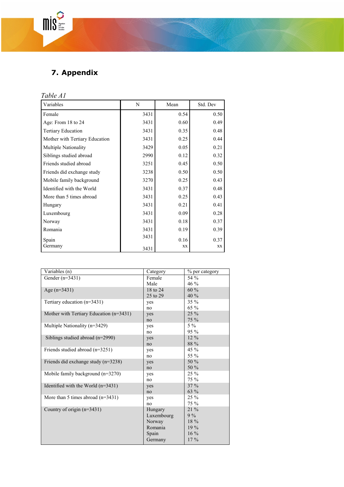## **7. Appendix**

## *Table A1*

 $mis^2 =$ 

| Variables                      | N    | Mean | Std. Dev |
|--------------------------------|------|------|----------|
| Female                         | 3431 | 0.54 | 0.50     |
| Age: From 18 to 24             | 3431 | 0.60 | 0.49     |
| <b>Tertiary Education</b>      | 3431 | 0.35 | 0.48     |
| Mother with Tertiary Education | 3431 | 0.25 | 0.44     |
| <b>Multiple Nationality</b>    | 3429 | 0.05 | 0.21     |
| Siblings studied abroad        | 2990 | 0.12 | 0.32     |
| Friends studied abroad         | 3251 | 0.45 | 0.50     |
| Friends did exchange study     | 3238 | 0.50 | 0.50     |
| Mobile family background       | 3270 | 0.25 | 0.43     |
| Identified with the World      | 3431 | 0.37 | 0.48     |
| More than 5 times abroad       | 3431 | 0.25 | 0.43     |
| Hungary                        | 3431 | 0.21 | 0.41     |
| Luxembourg                     | 3431 | 0.09 | 0.28     |
| Norway                         | 3431 | 0.18 | 0.37     |
| Romania                        | 3431 | 0.19 | 0.39     |
| Spain                          | 3431 | 0.16 | 0.37     |
| Germany                        | 3431 | XX   | XX       |

| Variables (n)                           | Category   | % per category |
|-----------------------------------------|------------|----------------|
| Gender $(n=3431)$                       | Female     | 54 %           |
|                                         | Male       | $46\%$         |
| Age $(n=3431)$                          | 18 to 24   | 60 %           |
|                                         | 25 to 29   | 40 %           |
| Tertiary education $(n=3431)$           | yes        | 35 %           |
|                                         | no         | $65\%$         |
| Mother with Tertiary Education (n=3431) | yes        | $25\%$         |
|                                         | no         | $75\%$         |
| Multiple Nationality (n=3429)           | yes        | $5\%$          |
|                                         | no         | $95\%$         |
| Siblings studied abroad $(n=2990)$      | yes        | $12\%$         |
|                                         | no         | 88 %           |
| Friends studied abroad $(n=3251)$       | yes        | $45\%$         |
|                                         | no         | 55 %           |
| Friends did exchange study $(n=3238)$   | yes        | 50 %           |
|                                         | no         | 50 %           |
| Mobile family background $(n=3270)$     | yes        | 25 %           |
|                                         | no         | $75\%$         |
| Identified with the World $(n=3431)$    | yes        | $37\%$         |
|                                         | no         | 63 %           |
| More than 5 times abroad $(n=3431)$     | yes        | $25\%$         |
|                                         | no         | 75 %           |
| Country of origin $(n=3431)$            | Hungary    | 21 %           |
|                                         | Luxembourg | $9\%$          |
|                                         | Norway     | 18 %           |
|                                         | Romania    | $19\%$         |
|                                         | Spain      | $16\%$         |
|                                         | Germany    | $17\%$         |